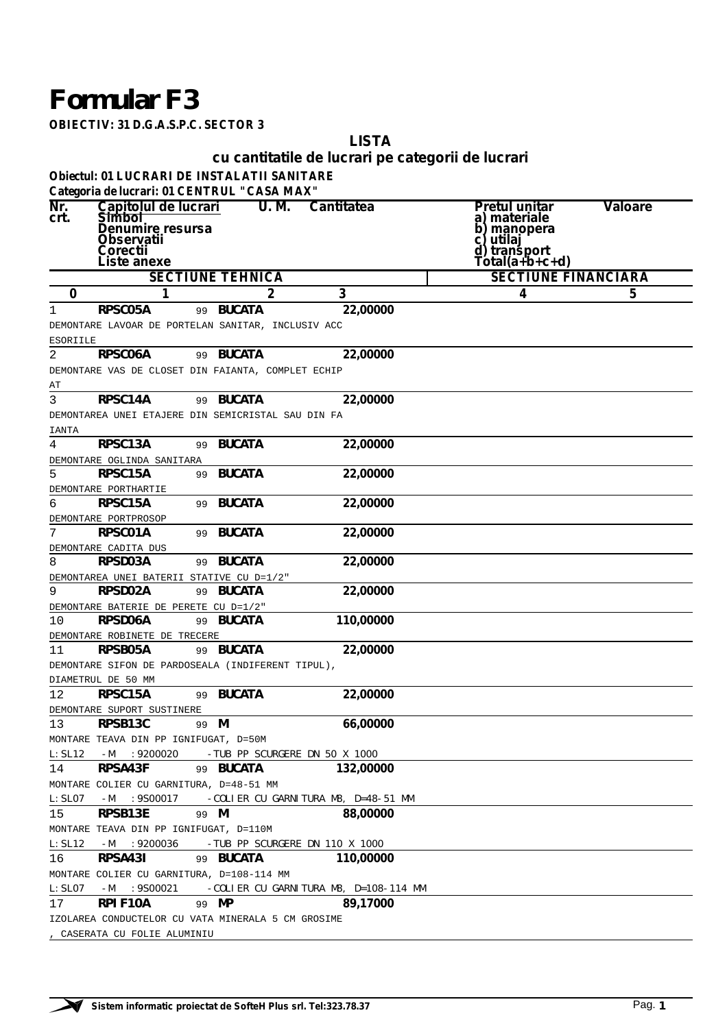## *Formular F3*

**OBIECTIV: 31 D.G.A.S.P.C. SECTOR 3**

**LISTA**

**cu cantitatile de lucrari pe categorii de lucrari**

**Obiectul: 01 LUCRARI DE INSTALATII SANITARE**

|               |                                                                                                                  | Categoria de lucrari: 01 CENTRUL "CASA MAX"                      |                                       |                                                                                                    |         |
|---------------|------------------------------------------------------------------------------------------------------------------|------------------------------------------------------------------|---------------------------------------|----------------------------------------------------------------------------------------------------|---------|
| Nr.<br>crt.   | Capitolul de lucrari<br><b>Simbol</b><br>Denumire resursa<br><b>Observatii</b><br><b>Corectii</b><br>Liste anexe | U. M.                                                            | <b>Cantitatea</b>                     | Pretul unitar<br>a) materiale<br>manopera<br>b<br>utilaj<br>с<br>d)<br>transport<br>Tótal(a+b+c+d) | Valoare |
|               |                                                                                                                  | <b>SECTIUNE TEHNICA</b>                                          |                                       | <b>SECTIUNE FINANCIARA</b>                                                                         |         |
| $\mathbf 0$   | 1                                                                                                                | 2                                                                | 3                                     | 4                                                                                                  | 5       |
| 1             | <b>RPSC05A</b>                                                                                                   | <b>BUCATA</b><br>99                                              | 22,00000                              |                                                                                                    |         |
|               |                                                                                                                  | DEMONTARE LAVOAR DE PORTELAN SANITAR, INCLUSIV ACC               |                                       |                                                                                                    |         |
| ESORIILE      |                                                                                                                  |                                                                  |                                       |                                                                                                    |         |
| 2             | RPSC06A                                                                                                          | 99 BUCATA                                                        | 22,00000                              |                                                                                                    |         |
|               |                                                                                                                  | DEMONTARE VAS DE CLOSET DIN FAIANTA, COMPLET ECHIP               |                                       |                                                                                                    |         |
| AΤ            |                                                                                                                  |                                                                  |                                       |                                                                                                    |         |
| 3             | <b>RPSC14A</b>                                                                                                   | 99 BUCATA                                                        | 22,00000                              |                                                                                                    |         |
|               |                                                                                                                  | DEMONTAREA UNEI ETAJERE DIN SEMICRISTAL SAU DIN FA               |                                       |                                                                                                    |         |
| IANTA         |                                                                                                                  |                                                                  |                                       |                                                                                                    |         |
| 4             | RPSC13A                                                                                                          | <b>BUCATA</b><br>99                                              | 22,00000                              |                                                                                                    |         |
|               | DEMONTARE OGLINDA SANITARA                                                                                       |                                                                  |                                       |                                                                                                    |         |
| 5             | <b>RPSC15A</b>                                                                                                   | <b>BUCATA</b><br>99                                              | 22,00000                              |                                                                                                    |         |
|               | DEMONTARE PORTHARTIE                                                                                             |                                                                  |                                       |                                                                                                    |         |
| 6             | <b>RPSC15A</b>                                                                                                   | <b>BUCATA</b><br>99                                              | 22,00000                              |                                                                                                    |         |
|               | DEMONTARE PORTPROSOP                                                                                             |                                                                  |                                       |                                                                                                    |         |
| 7             | <b>RPSC01A</b>                                                                                                   | <b>BUCATA</b><br>99                                              | 22,00000                              |                                                                                                    |         |
| 8             | DEMONTARE CADITA DUS                                                                                             |                                                                  | 22,00000                              |                                                                                                    |         |
|               | RPSD03A                                                                                                          | <b>BUCATA</b><br>99                                              |                                       |                                                                                                    |         |
| 9             | RPSD02A                                                                                                          | DEMONTAREA UNEI BATERII STATIVE CU D=1/2"<br><b>BUCATA</b><br>99 | 22,00000                              |                                                                                                    |         |
|               | DEMONTARE BATERIE DE PERETE CU D=1/2"                                                                            |                                                                  |                                       |                                                                                                    |         |
| 10            | <b>RPSD06A</b>                                                                                                   | 99 BUCATA                                                        | 110,00000                             |                                                                                                    |         |
|               | DEMONTARE ROBINETE DE TRECERE                                                                                    |                                                                  |                                       |                                                                                                    |         |
| 11            | <b>RPSB05A</b>                                                                                                   | 99 BUCATA                                                        | 22,00000                              |                                                                                                    |         |
|               |                                                                                                                  | DEMONTARE SIFON DE PARDOSEALA (INDIFERENT TIPUL),                |                                       |                                                                                                    |         |
|               | DIAMETRUL DE 50 MM                                                                                               |                                                                  |                                       |                                                                                                    |         |
| 12            | <b>RPSC15A</b>                                                                                                   | 99 BUCATA                                                        | 22,00000                              |                                                                                                    |         |
|               | DEMONTARE SUPORT SUSTINERE                                                                                       |                                                                  |                                       |                                                                                                    |         |
| 13            | <b>RPSB13C</b>                                                                                                   | 99 M                                                             | 66,00000                              |                                                                                                    |         |
|               |                                                                                                                  | MONTARE TEAVA DIN PP IGNIFUGAT, D=50M                            |                                       |                                                                                                    |         |
| L: SL12       | $-M$<br>:9200020                                                                                                 | -TUB PP SCURGERE DN 50 X 1000                                    |                                       |                                                                                                    |         |
| 14            | RPSA43F                                                                                                          | 99 BUCATA                                                        | 132,00000                             |                                                                                                    |         |
|               |                                                                                                                  | MONTARE COLIER CU GARNITURA, D=48-51 MM                          |                                       |                                                                                                    |         |
| L:SLO7        | $-M$<br>:9S00017                                                                                                 | -COLIER CU GARNITURA M8, D=48-51 MM                              |                                       |                                                                                                    |         |
| 15            | RPSB13E                                                                                                          | 99 M                                                             | 88,00000                              |                                                                                                    |         |
|               |                                                                                                                  | MONTARE TEAVA DIN PP IGNIFUGAT, D=110M                           |                                       |                                                                                                    |         |
| L:SL12        | $-M$<br>:9200036                                                                                                 | -TUB PP SCURGERE DN 110 X 1000                                   |                                       |                                                                                                    |         |
| 16            | RPSA43I                                                                                                          | 99 BUCATA                                                        | 110,00000                             |                                                                                                    |         |
|               |                                                                                                                  | MONTARE COLIER CU GARNITURA, D=108-114 MM                        |                                       |                                                                                                    |         |
| $L:$ S $L$ 07 | $-M$<br>:9S00021                                                                                                 |                                                                  | -COLIER CU GARNITURA M8, D=108-114 MM |                                                                                                    |         |
| 17            | <b>RPIF10A</b>                                                                                                   | 99 MP                                                            | 89,17000                              |                                                                                                    |         |
|               |                                                                                                                  | IZOLAREA CONDUCTELOR CU VATA MINERALA 5 CM GROSIME               |                                       |                                                                                                    |         |
|               | , CASERATA CU FOLIE ALUMINIU                                                                                     |                                                                  |                                       |                                                                                                    |         |

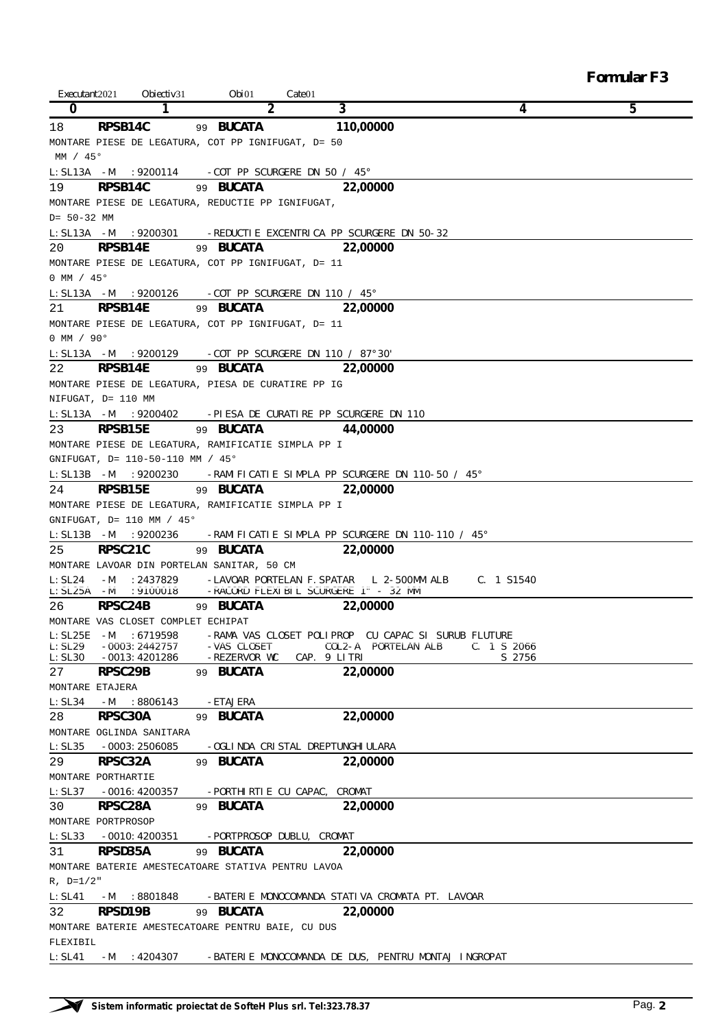| Executant 2021        | Obiectiv <sub>31</sub>             | Obi01                                               | $\textit{Gate}$ 01                                                      |             |   |
|-----------------------|------------------------------------|-----------------------------------------------------|-------------------------------------------------------------------------|-------------|---|
| $\bf{0}$              | 1                                  | 2                                                   | 3                                                                       | 4           | 5 |
| 18                    | RPSB14C                            | 99 <b>BUCATA</b>                                    | 110,00000                                                               |             |   |
|                       |                                    | MONTARE PIESE DE LEGATURA, COT PP IGNIFUGAT, D= 50  |                                                                         |             |   |
| MM / 45°              |                                    |                                                     |                                                                         |             |   |
|                       |                                    |                                                     |                                                                         |             |   |
|                       |                                    | $L: SL13A$ -M :9200114 -COT PP SCURGERE DN 50 / 45° | 22,00000                                                                |             |   |
| 19                    | RPSB14C                            | 99 BUCATA                                           |                                                                         |             |   |
|                       |                                    | MONTARE PIESE DE LEGATURA, REDUCTIE PP IGNIFUGAT,   |                                                                         |             |   |
| $D = 50 - 32$ MM      |                                    |                                                     |                                                                         |             |   |
| $L: SL13A$ -M         |                                    |                                                     | :9200301 -REDUCTIE EXCENTRICA PP SCURGERE DN 50-32                      |             |   |
| 20                    | <b>RPSB14E</b>                     | 99 BUCATA                                           | 22,00000                                                                |             |   |
|                       |                                    | MONTARE PIESE DE LEGATURA, COT PP IGNIFUGAT, D= 11  |                                                                         |             |   |
| 0 MM / $45^{\circ}$   |                                    |                                                     |                                                                         |             |   |
| L:SL13A -M            | :9200126                           | -COT PP SCURGERE DN 110 / 45°                       |                                                                         |             |   |
| 21                    | RPSB14E                            | 99 <b>BUCATA</b>                                    | 22,00000                                                                |             |   |
|                       |                                    | MONTARE PIESE DE LEGATURA, COT PP IGNIFUGAT, D= 11  |                                                                         |             |   |
| $0$ MM / $90^{\circ}$ |                                    |                                                     |                                                                         |             |   |
| $L: SL13A - M$        | :9200129                           | -COT PP SCURGERE DN 110 / 87°30'                    |                                                                         |             |   |
| 22                    | RPSB14E                            | 99 BUCATA                                           | 22,00000                                                                |             |   |
|                       |                                    | MONTARE PIESE DE LEGATURA, PIESA DE CURATIRE PP IG  |                                                                         |             |   |
|                       |                                    |                                                     |                                                                         |             |   |
|                       | NIFUGAT, D= 110 MM                 |                                                     |                                                                         |             |   |
|                       | L:SL13A -M :9200402                |                                                     | -PIESA DE CURATIRE PP SCURGERE DN 110                                   |             |   |
| 23                    | RPSB15E                            | 99 BUCATA                                           | 44,00000                                                                |             |   |
|                       |                                    | MONTARE PIESE DE LEGATURA, RAMIFICATIE SIMPLA PP I  |                                                                         |             |   |
|                       | GNIFUGAT, D= 110-50-110 MM / 45°   |                                                     |                                                                         |             |   |
|                       | L:SL13B -M :9200230                |                                                     | -RAMIFICATIE SIMPLA PP SCURGERE DN 110-50 / 45°                         |             |   |
| 24                    | RPSB15E                            | 99 BUCATA                                           | 22,00000                                                                |             |   |
|                       |                                    | MONTARE PIESE DE LEGATURA, RAMIFICATIE SIMPLA PP I  |                                                                         |             |   |
|                       | GNIFUGAT, $D = 110$ MM / 45°       |                                                     |                                                                         |             |   |
|                       | L:SL13B -M :9200236                |                                                     | -RAMIFICATIE SIMPLA PP SCURGERE DN 110-110 / 45°                        |             |   |
| 25                    | RPSC21C                            | 99 BUCATA                                           | 22,00000                                                                |             |   |
|                       |                                    | MONTARE LAVOAR DIN PORTELAN SANITAR, 50 CM          |                                                                         |             |   |
| L:SL24                | :2437829<br>$-M$                   |                                                     | -LAVOAR PORTELAN F.SPATAR 1 2-500MM ALB                                 | C. 1 S1540  |   |
| L:SL25A -M            | :9100018                           |                                                     | -RACORD FLEXIBIL SCURGERE 1" - 32 MM                                    |             |   |
| 26 —                  | RPSC24B                            | 99 BUCATA                                           | 22,00000                                                                |             |   |
|                       | MONTARE VAS CLOSET COMPLET ECHIPAT |                                                     |                                                                         |             |   |
|                       |                                    |                                                     | L:SL25E -M :6719598 -RAMA VAS CLOSET POLIPROP CU CAPAC SI SURUB FLUTURE |             |   |
| $L$ :S $L29$          | -0003:2442757                      | -VAS CLOSET                                         | COL2-A PORTELAN ALB                                                     | C. 1 S 2066 |   |
|                       | L:SL30 -0013:4201286               | -REZERVOR WC                                        | CAP. 9 LITRI                                                            | S 2756      |   |
| 27 —                  | RPSC29B                            | 99 BUCATA                                           | 22,00000                                                                |             |   |
|                       | MONTARE ETAJERA                    |                                                     |                                                                         |             |   |
| $L$ : S $L$ 34        | $-M$<br>:8806143                   | -ETAJERA                                            |                                                                         |             |   |
| 28                    | <b>RPSC30A</b>                     | 99 BUCATA                                           | 22,00000                                                                |             |   |
|                       | MONTARE OGLINDA SANITARA           |                                                     |                                                                         |             |   |
| $L$ : S $L$ 35        | $-0003:2506085$                    | -OGLINDA CRISTAL DREPTUNGHIULARA                    |                                                                         |             |   |
| 29                    | RPSC32A                            | 99 BUCATA                                           | 22,00000                                                                |             |   |
|                       | MONTARE PORTHARTIE                 |                                                     |                                                                         |             |   |
|                       | $L: SL37 - 0016:4200357$           | -PORTHIRTIE CU CAPAC, CROMAT                        |                                                                         |             |   |
| 30                    | <b>RPSC28A</b>                     | 99 BUCATA                                           | 22,00000                                                                |             |   |
|                       | MONTARE PORTPROSOP                 |                                                     |                                                                         |             |   |
| $L$ :S $L$ 33         | -0010:4200351                      | -PORTPROSOP DUBLU, CROMAT                           |                                                                         |             |   |
| 31                    | <b>RPSD35A</b>                     | 99 BUCATA                                           | 22,00000                                                                |             |   |
|                       |                                    |                                                     |                                                                         |             |   |
|                       |                                    | MONTARE BATERIE AMESTECATOARE STATIVA PENTRU LAVOA  |                                                                         |             |   |
| $R, D=1/2"$           |                                    |                                                     |                                                                         |             |   |
| <i>L:SL41</i>         | :8801848<br>-M                     |                                                     | -BATERIE MONOCOMANDA STATIVA CROMATA PT. LAVOAR                         |             |   |
| 32                    | RPSD19B                            | 99 BUCATA                                           | 22,00000                                                                |             |   |
|                       |                                    | MONTARE BATERIE AMESTECATOARE PENTRU BAIE, CU DUS   |                                                                         |             |   |
| FLEXIBIL              |                                    |                                                     |                                                                         |             |   |
| $L$ : $SL41$          | $-M$                               |                                                     | :4204307 -BATERIE MONOCOMANDA DE DUS, PENTRU MONTAJ INGROPAT            |             |   |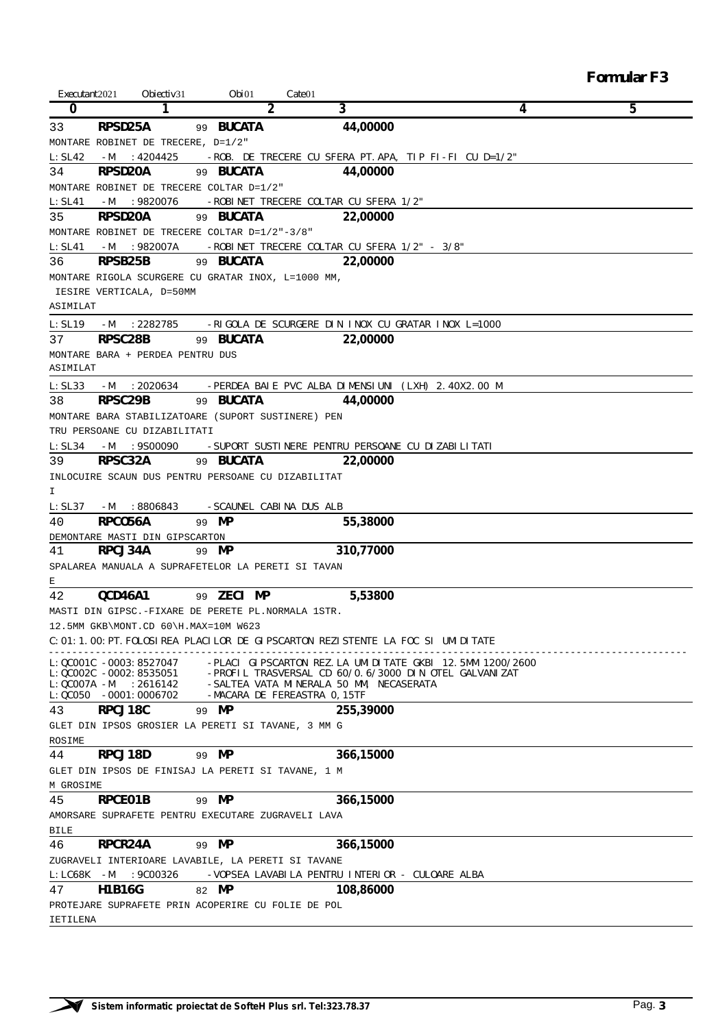*Formular F3*

| Executant 2021 | Obiectiv <sub>31</sub>             | Obi01                                              | Cate 01                                                                                         |                                                                                                                                           |   |
|----------------|------------------------------------|----------------------------------------------------|-------------------------------------------------------------------------------------------------|-------------------------------------------------------------------------------------------------------------------------------------------|---|
| 0              | 1                                  | 2                                                  | 3                                                                                               | 4                                                                                                                                         | 5 |
| 33             | RPSD25A                            | 99 BUCATA                                          | 44,00000                                                                                        |                                                                                                                                           |   |
|                | MONTARE ROBINET DE TRECERE, D=1/2" |                                                    |                                                                                                 |                                                                                                                                           |   |
| L:SL42         | $-M$<br>:4204425                   |                                                    |                                                                                                 | -ROB. DE TRECERE CU SFERA PT.APA, TIP FI-FI CU D=1/2"                                                                                     |   |
| 34             | RPSD20A                            | 99 BUCATA                                          | 44,00000                                                                                        |                                                                                                                                           |   |
|                |                                    | MONTARE ROBINET DE TRECERE COLTAR D=1/2"           |                                                                                                 |                                                                                                                                           |   |
| L:SL41         | :9820076<br>$-M$                   |                                                    | -ROBINET TRECERE COLTAR CU SFERA 1/2"                                                           |                                                                                                                                           |   |
| 35             | <b>RPSD20A</b>                     | 99 BUCATA                                          | 22,00000                                                                                        |                                                                                                                                           |   |
|                |                                    | MONTARE ROBINET DE TRECERE COLTAR $D=1/2$ "-3/8"   |                                                                                                 |                                                                                                                                           |   |
| L:SL41         | $-M$<br>:982007A                   |                                                    | -ROBINET TRECERE COLTAR CU SFERA 1/2" - 3/8"                                                    |                                                                                                                                           |   |
| 36             | RPSB25B                            | 99 BUCATA                                          | 22,00000                                                                                        |                                                                                                                                           |   |
|                |                                    | MONTARE RIGOLA SCURGERE CU GRATAR INOX, L=1000 MM, |                                                                                                 |                                                                                                                                           |   |
|                | IESIRE VERTICALA, D=50MM           |                                                    |                                                                                                 |                                                                                                                                           |   |
| ASIMILAT       |                                    |                                                    |                                                                                                 |                                                                                                                                           |   |
| L:SL19         | -M<br>:2282785                     |                                                    | -RIGOLA DE SCURGERE DIN INOX CU GRATAR INOX L=1000                                              |                                                                                                                                           |   |
| 37             | RPSC28B                            | 99 BUCATA                                          | 22,00000                                                                                        |                                                                                                                                           |   |
|                | MONTARE BARA + PERDEA PENTRU DUS   |                                                    |                                                                                                 |                                                                                                                                           |   |
| ASIMILAT       |                                    |                                                    |                                                                                                 |                                                                                                                                           |   |
| L:SL33         | :2020634<br>$-M$                   |                                                    | -PERDEA BAIE PVC ALBA DIMENSIUNI (LXH) 2.40X2.00 M                                              |                                                                                                                                           |   |
| 38             | RPSC29B                            | 99 BUCATA                                          | 44,00000                                                                                        |                                                                                                                                           |   |
|                |                                    | MONTARE BARA STABILIZATOARE (SUPORT SUSTINERE) PEN |                                                                                                 |                                                                                                                                           |   |
|                | TRU PERSOANE CU DIZABILITATI       |                                                    |                                                                                                 |                                                                                                                                           |   |
| L:SL34         | $-M$<br>:9500090                   |                                                    | -SUPORT SUSTINERE PENTRU PERSOANE CU DIZABILITATI                                               |                                                                                                                                           |   |
| 39             | RPSC32A                            | 99 BUCATA                                          | 22,00000                                                                                        |                                                                                                                                           |   |
|                |                                    | INLOCUIRE SCAUN DUS PENTRU PERSOANE CU DIZABILITAT |                                                                                                 |                                                                                                                                           |   |
| I              |                                    |                                                    |                                                                                                 |                                                                                                                                           |   |
| L:SL37         | $-M$<br>:8806843                   | -SCAUNEL CABINA DUS ALB                            |                                                                                                 |                                                                                                                                           |   |
| 40             | RPCO56A                            | 99 MP                                              | 55,38000                                                                                        |                                                                                                                                           |   |
|                | DEMONTARE MASTI DIN GIPSCARTON     |                                                    |                                                                                                 |                                                                                                                                           |   |
| 41             | <b>RPCJ34A</b>                     | 99 MP                                              | 310,77000                                                                                       |                                                                                                                                           |   |
|                |                                    | SPALAREA MANUALA A SUPRAFETELOR LA PERETI SI TAVAN |                                                                                                 |                                                                                                                                           |   |
| Ε              |                                    |                                                    |                                                                                                 |                                                                                                                                           |   |
| 42             | OCD46A1                            | 99 ZECI MP                                         | 5,53800                                                                                         |                                                                                                                                           |   |
|                |                                    | MASTI DIN GIPSC.-FIXARE DE PERETE PL.NORMALA 1STR. |                                                                                                 |                                                                                                                                           |   |
|                |                                    | 12.5MM GKB\MONT.CD 60\H.MAX=10M W623               |                                                                                                 |                                                                                                                                           |   |
|                |                                    |                                                    | C:01:1.00:PT.FOLOSIREA PLACILOR DE GIPSCARTON REZISTENTE LA FOC SI UMIDITATE                    |                                                                                                                                           |   |
|                |                                    |                                                    |                                                                                                 |                                                                                                                                           |   |
|                | L:QC001C -0003:8527047             |                                                    |                                                                                                 | -PLACI GIPSCARTON REZ.LA UMIDITATE GKBI 12.5MM 1200/2600<br>L:QC002C -0002:8535051 - PROFIL TRASVERSAL CD 60/0.6/3000 DIN OTEL GALVANIZAT |   |
|                |                                    |                                                    | $\emph{L:QC007A -M} \quad : 2616142 \quad \quad -\emph{SALTER VATA MINERALA 50 MM, NECASERATA}$ |                                                                                                                                           |   |
|                | $L:QC050 -0001:0006702$            |                                                    | -MACARA DE FEREASTRA 0,15TF                                                                     |                                                                                                                                           |   |
| 43             | <b>RPCJ18C</b>                     | 99 MP                                              | 255,39000                                                                                       |                                                                                                                                           |   |
|                |                                    | GLET DIN IPSOS GROSIER LA PERETI SI TAVANE, 3 MM G |                                                                                                 |                                                                                                                                           |   |
| ROSIME         |                                    |                                                    |                                                                                                 |                                                                                                                                           |   |
| 44             | RPCJ18D                            | 99 MP                                              | 366,15000                                                                                       |                                                                                                                                           |   |
|                |                                    | GLET DIN IPSOS DE FINISAJ LA PERETI SI TAVANE, 1 M |                                                                                                 |                                                                                                                                           |   |
| M GROSIME      |                                    |                                                    |                                                                                                 |                                                                                                                                           |   |
| 45             | RPCE01B                            | 99 MP                                              | 366,15000                                                                                       |                                                                                                                                           |   |
|                |                                    | AMORSARE SUPRAFETE PENTRU EXECUTARE ZUGRAVELI LAVA |                                                                                                 |                                                                                                                                           |   |
| BILE           |                                    |                                                    |                                                                                                 |                                                                                                                                           |   |
| 46             | RPCR24A                            | 99 MP                                              | 366,15000                                                                                       |                                                                                                                                           |   |
|                |                                    | ZUGRAVELI INTERIOARE LAVABILE, LA PERETI SI TAVANE |                                                                                                 |                                                                                                                                           |   |
| $L: LCGSK -M$  | :9C00326                           |                                                    | -VOPSEA LAVABILA PENTRU INTERIOR - CULOARE ALBA                                                 |                                                                                                                                           |   |
| 47             | H1B16G                             | 82 MP                                              | 108,86000                                                                                       |                                                                                                                                           |   |
|                |                                    | PROTEJARE SUPRAFETE PRIN ACOPERIRE CU FOLIE DE POL |                                                                                                 |                                                                                                                                           |   |
| IETILENA       |                                    |                                                    |                                                                                                 |                                                                                                                                           |   |

 $\overline{\phantom{0}}$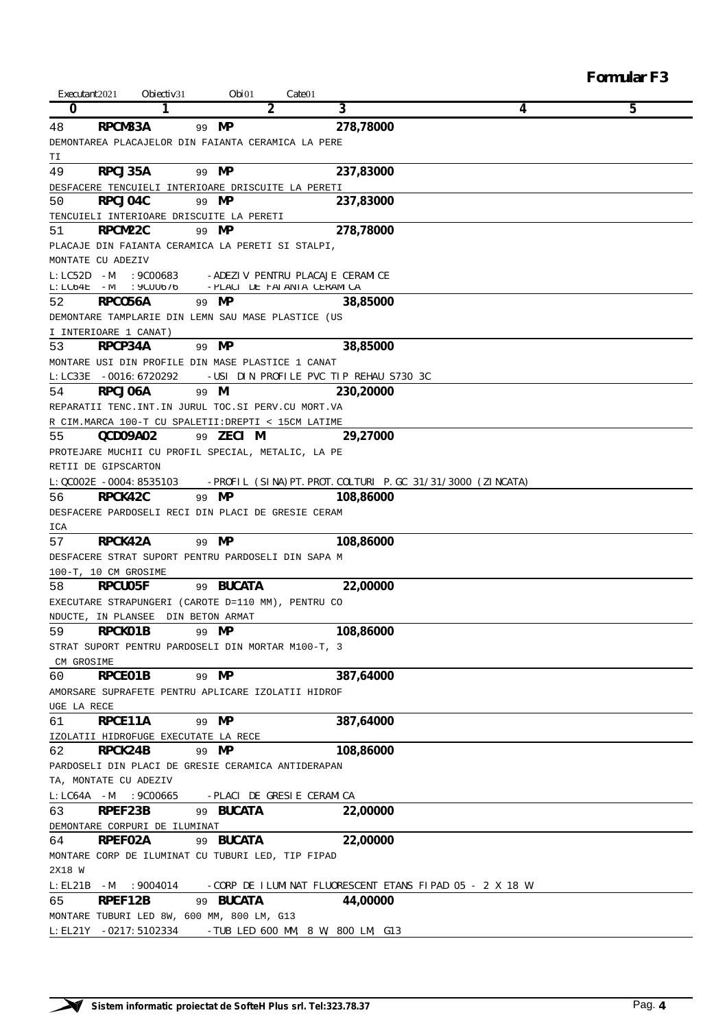| <b>Formular F3</b> |  |
|--------------------|--|
|--------------------|--|

| Executant 2021    | Obiectiv <sub>31</sub>                                              | Obi01                           | $\textit{Cate}$ 01 |                                        |                                                         |   |
|-------------------|---------------------------------------------------------------------|---------------------------------|--------------------|----------------------------------------|---------------------------------------------------------|---|
| 0                 | 1                                                                   |                                 | 2                  | 3                                      | 4                                                       | 5 |
| 48                | RPCM33A                                                             | MP<br>99                        |                    | 278,78000                              |                                                         |   |
|                   | DEMONTAREA PLACAJELOR DIN FAIANTA CERAMICA LA PERE                  |                                 |                    |                                        |                                                         |   |
| TΙ                |                                                                     |                                 |                    |                                        |                                                         |   |
| 49                | RPCJ35A                                                             | 99 MP                           |                    | 237,83000                              |                                                         |   |
|                   | DESFACERE TENCUIELI INTERIOARE DRISCUITE LA PERETI                  |                                 |                    |                                        |                                                         |   |
| 50                | RPCJ04C                                                             | 99 MP                           |                    | 237,83000                              |                                                         |   |
|                   | TENCUIELI INTERIOARE DRISCUITE LA PERETI                            |                                 |                    |                                        |                                                         |   |
| 51                | RPCM22C                                                             | MP<br>99                        |                    | 278,78000                              |                                                         |   |
|                   | PLACAJE DIN FAIANTA CERAMICA LA PERETI SI STALPI,                   |                                 |                    |                                        |                                                         |   |
|                   | MONTATE CU ADEZIV                                                   |                                 |                    |                                        |                                                         |   |
| L:LC52D           | :9C00683<br>$-M$                                                    | -ADEZIV PENTRU PLACAJE CERAMICE |                    |                                        |                                                         |   |
| $L$ : LC6 4E      | :9C00676<br>–М                                                      | -PLACI DE FAIANTA CERAMICA      |                    |                                        |                                                         |   |
| 52                | RPCO56A                                                             | 99 MP                           |                    | 38,85000                               |                                                         |   |
|                   | DEMONTARE TAMPLARIE DIN LEMN SAU MASE PLASTICE (US                  |                                 |                    |                                        |                                                         |   |
|                   | I INTERIOARE 1 CANAT)                                               |                                 |                    |                                        |                                                         |   |
| 53                | <b>RPCP34A</b>                                                      | 99 MP                           |                    | 38,85000                               |                                                         |   |
|                   | MONTARE USI DIN PROFILE DIN MASE PLASTICE 1 CANAT                   |                                 |                    |                                        |                                                         |   |
| $L$ : $L$ C33 $E$ | -0016:6720292                                                       |                                 |                    | -USI DIN PROFILE PVC TIP REHAU S730 3C |                                                         |   |
| 54                | RPCJ06A                                                             | 99 M                            |                    | 230,20000                              |                                                         |   |
|                   | REPARATII TENC. INT. IN JURUL TOC. SI PERV. CU MORT. VA             |                                 |                    |                                        |                                                         |   |
|                   | R CIM. MARCA 100-T CU SPALETII: DREPTI < 15CM LATIME                |                                 |                    |                                        |                                                         |   |
| 55                | QCD09A02                                                            | 99 ZECI M                       |                    | 29,27000                               |                                                         |   |
|                   | PROTEJARE MUCHII CU PROFIL SPECIAL, METALIC, LA PE                  |                                 |                    |                                        |                                                         |   |
|                   | RETII DE GIPSCARTON                                                 |                                 |                    |                                        |                                                         |   |
|                   | L:QC002E -0004:8535103                                              |                                 |                    |                                        | -PROFIL (SINA)PT.PROT.COLTURI P.GC 31/31/3000 (ZINCATA) |   |
| 56                | RPCK42C                                                             | 99 MP                           |                    | 108,86000                              |                                                         |   |
|                   | DESFACERE PARDOSELI RECI DIN PLACI DE GRESIE CERAM                  |                                 |                    |                                        |                                                         |   |
| ICA               |                                                                     |                                 |                    |                                        |                                                         |   |
| 57                | RPCK42A                                                             | 99 MP                           |                    | 108,86000                              |                                                         |   |
|                   | DESFACERE STRAT SUPORT PENTRU PARDOSELI DIN SAPA M                  |                                 |                    |                                        |                                                         |   |
|                   | 100-T, 10 CM GROSIME                                                |                                 |                    |                                        |                                                         |   |
| 58                | <b>RPCU05F</b>                                                      | 99 BUCATA                       |                    | 22,00000                               |                                                         |   |
|                   | EXECUTARE STRAPUNGERI (CAROTE D=110 MM), PENTRU CO                  |                                 |                    |                                        |                                                         |   |
|                   | NDUCTE, IN PLANSEE                                                  | DIN BETON ARMAT                 |                    |                                        |                                                         |   |
| 59                | RPCK01B                                                             | 99 MP                           |                    | 108,86000                              |                                                         |   |
|                   | STRAT SUPORT PENTRU PARDOSELI DIN MORTAR M100-T, 3                  |                                 |                    |                                        |                                                         |   |
| CM GROSIME        |                                                                     |                                 |                    |                                        |                                                         |   |
| 60                | RPCE01B                                                             | 99 MP                           |                    | 387,64000                              |                                                         |   |
|                   | AMORSARE SUPRAFETE PENTRU APLICARE IZOLATII HIDROF                  |                                 |                    |                                        |                                                         |   |
| UGE LA RECE       |                                                                     |                                 |                    |                                        |                                                         |   |
| 61                | RPCE11A                                                             | 99 MP                           |                    | 387,64000                              |                                                         |   |
|                   | IZOLATII HIDROFUGE EXECUTATE LA RECE                                |                                 |                    |                                        |                                                         |   |
| 62                | RPCK24B                                                             | 99 MP                           |                    | 108,86000                              |                                                         |   |
|                   | PARDOSELI DIN PLACI DE GRESIE CERAMICA ANTIDERAPAN                  |                                 |                    |                                        |                                                         |   |
|                   | TA, MONTATE CU ADEZIV                                               |                                 |                    |                                        |                                                         |   |
| $L: LC64A$ -M     | :9C00665                                                            | -PLACI DE GRESIE CERAMICA       |                    |                                        |                                                         |   |
| 63                | RPEF23B                                                             | 99 BUCATA                       |                    | 22,00000                               |                                                         |   |
|                   | DEMONTARE CORPURI DE ILUMINAT                                       |                                 |                    |                                        |                                                         |   |
| 64                | RPEF02A                                                             | 99 <b>BUCATA</b>                |                    | 22,00000                               |                                                         |   |
|                   | MONTARE CORP DE ILUMINAT CU TUBURI LED, TIP FIPAD                   |                                 |                    |                                        |                                                         |   |
| 2X18 W            |                                                                     |                                 |                    |                                        |                                                         |   |
| L:EL21B           | :9004014<br>$-M$                                                    |                                 |                    |                                        | -CORP DE ILUMINAT FLUORESCENT ETANS FIPAD 05 - 2 X 18 W |   |
| 65                | RPEF12B                                                             | 99 BUCATA                       |                    | 44,00000                               |                                                         |   |
|                   |                                                                     |                                 |                    |                                        |                                                         |   |
|                   | MONTARE TUBURI LED 8W, 600 MM, 800 LM, G13<br>L:EL21Y -0217:5102334 |                                 |                    |                                        |                                                         |   |
|                   |                                                                     |                                 |                    | $-TUB$ LED 600 MM, 8 W, 800 LM, G13    |                                                         |   |

 $\overline{\phantom{a}}$